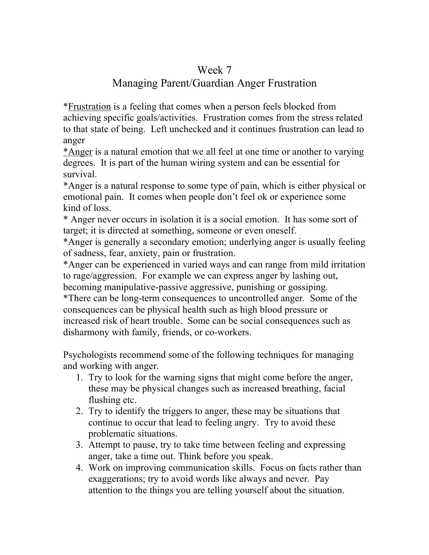## Week 7

## Managing Parent/Guardian Anger Frustration

\*Frustration is a feeling that comes when a person feels blocked from achieving specific goals/activities. Frustration comes from the stress related to that state of being. Left unchecked and it continues frustration can lead to anger

\*Anger is a natural emotion that we all feel at one time or another to varying degrees. It is part of the human wiring system and can be essential for survival.

\*Anger is a natural response to some type of pain, which is either physical or emotional pain. It comes when people don't feel ok or experience some kind of loss.

\* Anger never occurs in isolation it is a social emotion. It has some sort of target; it is directed at something, someone or even oneself.

\*Anger is generally a secondary emotion; underlying anger is usually feeling of sadness, fear, anxiety, pain or frustration.

\*Anger can be experienced in varied ways and can range from mild irritation to rage/aggression. For example we can express anger by lashing out, becoming manipulative-passive aggressive, punishing or gossiping.

\*There can be long-term consequences to uncontrolled anger. Some of the consequences can be physical health such as high blood pressure or increased risk of heart trouble. Some can be social consequences such as disharmony with family, friends, or co-workers.

Psychologists recommend some of the following techniques for managing and working with anger.

- 1. Try to look for the warning signs that might come before the anger, these may be physical changes such as increased breathing, facial flushing etc.
- 2. Try to identify the triggers to anger, these may be situations that continue to occur that lead to feeling angry. Try to avoid these problematic situations.
- 3. Attempt to pause, try to take time between feeling and expressing anger, take a time out. Think before you speak.
- 4. Work on improving communication skills. Focus on facts rather than exaggerations; try to avoid words like always and never. Pay attention to the things you are telling yourself about the situation.